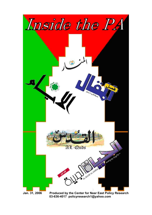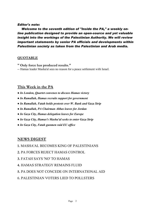### *Editor's note:*

 *Welcome to the seventh edition of "Inside the PA," a weekly online publication designed to provide an open-source and yet valuable insight into the workings of the Palestinian Authority. We will review important statements by senior PA officials and developments within Palestinian society as taken from the Palestinian and Arab media.*

# **QUOTABLE**

- **" Only force has produced results."**
- -- Hamas leader Masha'al sees no reason for a peace settlement with Israel.

# **This Week in the PA**

- *In London, Quartet convenes to discuss Hamas victory*
- *In Ramallah, Hamas recruits support for government*
- *In Ramallah, Fatah holds protests over W. Bank and Gaza Strip*
- *In Ramallah, PA Chairman Abbas leaves for Jordan*
- *In Gaza City, Hamas delegation leaves for Europe*
- *● In Gaza City, Hamas's Masha'al seeks to enter Gaza Strip*
- *In Gaza City, Fatah gunmen raid EU office*

# **NEWS DIGEST**

- **1.** MASHA'AL BECOMES KING OF PALESTINIANS
- **2.** PA FORCES REJECT HAMAS CONTROL
- **3.** FATAH SAYS 'NO' TO HAMAS
- **4.** HAMAS STRATEGY REMAINS FLUID
- **5.** PA DOES NOT CONCEDE ON INTERNATIONAL AID
- 6. PALESTINIAN VOTERS LIED TO POLLSTERS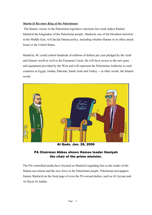### *Masha'al Becomes King of the Palestinians*

The Hamas victory in the Palestinian legislative elections last week makes Khaled Masha'al the kingmaker of the Palestinian people. Masha'al, one of the bloodiest terrorists in the Middle East, will decide Hamas policy, including whether Hamas or its allies attack Israel or the United States.

Masha'al, 49, could control hundreds of millions of dollars per year pledged by the Arab and Islamic world as well as the European Union. He will have access to the new guns and equipment provided by the West and will represent the Palestinian Authority to such countries as Egypt, Jordan, Pakistan, Saudi Arab and Turkey -- in other words, the Islamic world.



Al Quds. Jan. 28, 2006

# PA Chairman Abbas shows Hamas leader Haniyeh the chair of the prime minister.

The PA-controlled media have focused on Masha'al regarding him as the leader of the Hamas movement and the new force in the Palestinian people. Palestinian newspapers feature Masha'al on the front page of even the PA-owned dailies, such as Al Ayyam and Al Hayat Al Jadida.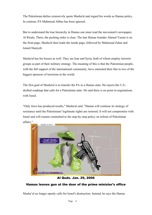The Palestinian dailies extensively quote Masha'al and regard his words as Hamas policy. In contrast, PA Mahmoud Abbas has been ignored.

But to understand the true hierarchy in Hamas one must read the movement's newspaper, Al Risala. There, the pecking order is clear. The late Hamas founder Ahmed Yassin is on the front page, Masha'al then leads the inside page, followed by Mahmoud Zahar and Ismail Haniyeh.

Masha'al has his bosses as well. They are Iran and Syria, both of whom employ terrorist groups as part of their military strategy. The meaning of this is that the Palestinian people, with the full support of the international community, have entrusted their fate to two of the biggest sponsors of terrorism in the world.

The first goal of Masha'al is to transfer the PA in a Hamas state. He rejects the U.S. drafted roadmap that calls for a Palestinian state. He said there is no point in negotiations with Israel.

"Only force has produced results," Masha'al said. "Hamas will continue its strategy of resistance until the Palestinians' legitimate rights are restored. It will not compromise with Israel and will remain committed to the step-by-step policy on reform of Palestinian affairs."



Al Quds. Jan. 29, 2006

# Hamas leaves gun at the door of the prime minister's office

Masha'al no longer openly calls for Israel's destruction. Instead, he says the Hamas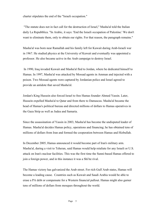charter stipulates the end of the "Israeli occupation."

"The statute does not in fact call for the destruction of Israel," Masha'al told the Italian daily La Repubblica. "In Arabic, it says: 'End the Israeli occupation of Palestine.' We don't want to eliminate them, only to obtain our rights. For that reason, the paragraph remains."

Masha'al was born near Ramallah and his family left for Kuwait during Arab-Israeli war in 1967. He studied physics at the University of Kuwait and eventually was appointed a professor. He also became active in the Arab campaign to destroy Israel.

In 1990, Iraq invaded Kuwait and Masha'al fled to Jordan, where he dedicated himself to Hamas. In 1997, Masha'al was attacked by Mossad agents in Amman and injected with a poison. Two Mossad agents were captured by Jordanian police and Israel agreed to provide an antidote that saved Masha'al.

Jordan's King Hussein also forced Israel to free Hamas founder Ahmed Yassin. Later, Hussein expelled Masha'al to Qatar and from there to Damascus. Masha'al became the head of Hamas's political bureau and directed millions of dollars to Hamas operatives in the Gaza Strip as well as Judea and Samaria.

Since the assassination of Yassin in 2003, Masha'al has become the undisputed leader of Hamas. Masha'al decides Hamas policy, operations and financing; he has obtained tens of millions of dollars from Iran and formed the cooperation between Hamas and Hizbullah.

In December 2005, Hamas announced it would become part of Iran's military arm. Masha'al, during a visit to Teheran, said Hamas would help retaliate for any Israeli or U.S. attack on Iran's nuclear facilities. This was the first time the Sunni-based Hamas offered to join a foreign power, and in this instance it was a Shi'ite rival.

The Hamas victory has galvanized the Arab street. For rich Gulf Arab states, Hamas will become a leading cause. Countries such as Kuwait and Saudi Arabia would be able to erase a PA debt or compensate for a Western financial pullout. Hamas might also garner tens of millions of dollars from mosques throughout the world.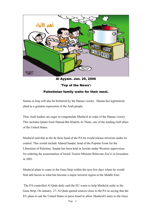

Al Ayyam. Jan. 29, 2006

'Top of the News':

# Palestinian family waits for their meal.

Sunnis in Iraq will also be bolstered by the Hamas victory. Hamas has legitimized jihad as a genuine expression of the Arab people.

Thus Arab leaders are eager to congratulate Masha'al in wake of the Hamas victory. This includes Qatari Emir Hamad Bin Khalifa Al Thani, one of the leading Gulf allies of the United States.

Masha'al said that as the de facto head of the PA he would release terrorists under its control. This would include Ahmed Saadat, head of the Popular Front for the Liberation of Palestine. Saadat has been held in Jericho under Western supervision for ordering the assassination of Israeli Tourist Minister Rehavam Zee'vi in Jerusalem in 2001.

Masha'al plans to come to the Gaza Strip within the next few days where he would find safe haven in what has become a major terrorist region in the Middle East.

The PA-controlled Al Quds daily said the EU wants to help Masha'al settle in the Gaza Strip. On January. 27, Al Quds quoted sources close to the PA as saying that the EU plans to ask the United States to press Israel to allow Masha'al's entry to the Gaza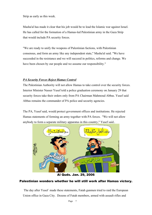Strip as early as this week.

Masha'al has made it clear that his job would be to lead the Islamic war against Israel. He has called for the formation of a Hamas-led Palestinian army in the Gaza Strip that would include PA security forces.

"We are ready to unify the weapons of Palestinian factions, with Palestinian consensus, and form an army like any independent state," Masha'al said. "We have succeeded in the resistance and we will succeed in politics, reforms and change. We have been chosen by our people and we assume our responsibility."

## *PA Security Forces Reject Hamas Control*

The Palestinian Authority will not allow Hamas to take control over the security forces. Interior Minister Nasser Yusef told a police graduation ceremony on January 29 that security forces take their orders only from PA Chairman Mahmoud Abbas. Yusef said Abbas remains the commander of PA police and security agencies.

The PA, Yusef said, would protect government offices and institutions. He rejected Hamas statements of forming an army together with PA forces. "We will not allow anybody to form a separate military apparatus in this country," Yusef said..



Al Quds. Jan. 29, 2006

## Palestinian wonders whether he will still work after Hamas victory.

The day after Yusef made these statements, Fatah gunmen tried to raid the European Union office in Gaza City. Dozens of Fatah members, armed with assault rifles and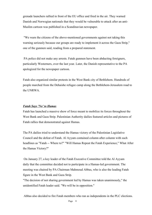grenade launchers rallied in front of the EU office and fired in the air. They warned Danish and Norwegian nationals that they would be vulnerable to attack after an anti-Muslim cartoon was published in a Scandinavian newspaper.

"We warn the citizens of the above-mentioned governments against not taking this warning seriously because our groups are ready to implement it across the Gaza Strip," one of the gunmen said, reading from a prepared statement.

PA police did not make any arrests. Fatah gunmen have been abducting foreigners, particularly Westerners, over the last year. Later, the Danish representative to the PA apologized for the newspaper cartoon.

Fatah also organized similar protests in the West Bank city of Bethlehem. Hundreds of people marched from the Dehaishe refugee camp along the Bethlehem-Jerusalem road to the UNRWA.

#### *Fatah Says 'No' to Hamas*

Fatah has launched a massive show of force meant to mobilize its forces throughout the West Bank and Gaza Strip. Palestinian Authority dailies featured articles and pictures of Fatah rallies that demonstrated against Hamas.

The PA dailies tried to understand the Hamas victory of the Palestinian Legislative Council and the defeat of Fatah. Al Ayyam contained column after column with such headlines as "Fatah -- Where to?" "Will Hamas Repeat the Fatah Experience," What After the Hamas Victory?"

On January 27, a key leader of the Fatah Executive Committee told the Al Ayyam daily that the committee decided not to participate in a Hamas-led government. The meeting was chaired by PA Chairman Mahmoud Abbas, who is also the leading Fatah figure in the West Bank and Gaza Strip.

"The decision of not sharing government led by Hamas was taken unanimously," the unidentified Fatah leader said. "We will be in opposition."

Abbas also decided to fire Fatah members who ran as independents in the PLC elections.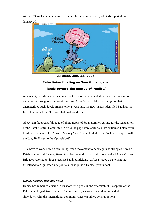At least 74 such candidates were expelled from the movement, Al Quds reported on January 30.



Al Quds. Jan. 28, 2006 Palestinian floating on 'fanciful slogans' lands toward the cactus of 'reality.'

As a result, Palestinian dailies pulled out the stops and reported on Fatah demonstrations and clashes throughout the West Bank and Gaza Strip. Unlike the ambiguity that characterized such developments only a week ago, the newspapers identified Fatah as the force that raided the PLC and shattered windows.

Al Ayyam featured a full page of photographs of Fatah gunmen calling for the resignation of the Fatah Central Committee. Across the page were editorials that criticized Fatah, with headlines such as "The Crisis of Victory," and "Fatah Failed in the PA Leadership ... Will the Way Be Paved to the Opposition?"

"We have to work now on rebuilding Fatah movement to back again as strong as it was," Fatah veteran and PA negotiator Saeb Erekat said. The Fatah-sponsored Al Aqsa Martyrs Brigades resorted to threats against Fatah politicians. Al Aqsa issued a statement that threatened to "liquidate" any politician who joins a Hamas government.

## *Hamas Strategy Remains Fluid*

Hamas has remained elusive in its short-term goals in the aftermath of its capture of the Palestinian Legislative Council. The movement, seeking to avoid an immediate showdown with the international community, has examined several options.

Page 9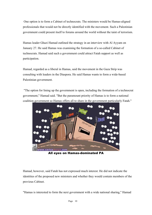One option is to form a Cabinet of technocrats. The ministers would be Hamas-aligned professionals that would not be directly identified with the movement. Such a Palestinian government could present itself to forums around the world without the taint of terrorism.

Hamas leader Ghazi Hamad outlined the strategy in an interview with Al Ayyam on January 27. He said Hamas was examining the formation of a so-called Cabinet of technocrats. Hamad said such a government could attract Fatah support as well as participation.

Hamad, regarded as a liberal in Hamas, said the movement in the Gaza Strip was consulting with leaders in the Diaspora. He said Hamas wants to form a wide-based Palestinian government.

"The option for lining up the government is open, including the formation of a technocrat government," Hamad said. "But the paramount priority of Hamas is to form a national coalition government so Hamas offers all to share in the government particularly Fatah."



All eyes on Hamas-dominated PA

Hamad, however, said Fatah has not expressed much interest. He did not indicate the identities of the proposed new ministers and whether they would contain members of the previous Cabinet.

"Hamas is interested to form the next government with a wide national sharing," Hamad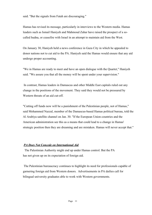said. "But the signals from Fatah are discouraging."

Hamas has revised its message, particularly in interviews to the Western media. Hamas leaders such as Ismail Haniyeh and Mahmoud Zahar have raised the prospect of a socalled hudna, or ceasefire with Israel in an attempt to maintain aid from the West.

On January 30, Haniyeh held a news conference in Gaza City in which he appealed to donor nations not to cut aid to the PA. Haniyeh said the Hamas would ensure that any aid undergo proper accounting.

"We in Hamas are ready to meet and have an open dialogue with the Quartet," Haniyeh said. "We assure you that all the money will be spent under your supervision."

In contrast, Hamas leaders in Damascus and other Middle East capitals ruled out any change in the positions of the movement. They said they would not be pressured by Western threats of an aid cut-off.

"Cutting off funds now will be a punishment of the Palestinian people, not of Hamas," said Mohammed Nazzal, member of the Damascus-based Hamas political bureau, told the Al Arabiya satellite channel on Jan. 30. "If the European Union countries and the American administration see this as a means that could lead to a change in Hamas' strategic position then they are dreaming and are mistaken. Hamas will never accept that."

#### *PA Does Not Concede on International Aid*

The Palestinian Authority might end up under Hamas control. But the PA has not given up on its expectation of foreign aid.

 The Palestinian bureaucracy continues to highlight its need for professionals capable of garnering foreign aid from Western donors. Advertisements in PA dailies call for bilingual university graduates able to work with Western governments.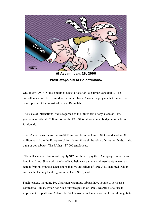

West stops aid to Palestinians.

On January 29, Al Quds contained a host of ads for Palestinian consultants. The consultants would be required to recruit aid from Canada for projects that include the development of the industrial park in Ramallah.

The issue of international aid is regarded as the litmus test of any successful PA government. About \$900 million of the PA's \$1.6 billion annual budget comes from foreign aid.

The PA and Palestinians receive \$400 million from the United States and another 300 million euro from the European Union. Israel, through the relay of sales tax funds, is also a major contributor. The PA has 137,000 employees.

"We will see how Hamas will supply \$120 million to pay the PA employee salaries and how it will coordinate with the Israelis to help sick patients and merchants as well as retreat from its previous accusations that we are callers of Israel," Mohammed Dahlan, seen as the leading Fatah figure in the Gaza Strip, said.

Fatah leaders, including PA Chairman Mahmoud Abbas, have sought to serve as a contrast to Hamas, which has ruled out recognition of Israel. Despite his failure to implement his platform, Abbas told PA television on January 26 that he would negotiate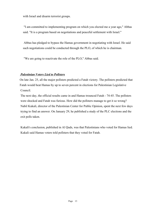with Israel and disarm terrorist groups.

"I am committed to implementing program on which you elected me a year ago," Abbas said. "It is a program based on negotiations and peaceful settlement with Israel."

Abbas has pledged to bypass the Hamas government in negotiating with Israel. He said such negotiations could be conducted through the PLO, of which he is chairman.

"We are going to reactivate the role of the PLO," Abbas said.

# *Palestinian Voters Lied to Pollsters*

 On late Jan. 25, all the major pollsters predicted a Fatah victory. The pollsters predicted that Fatah would beat Hamas by up to seven percent in elections for Palestinian Legislative Council.

 The next day, the official results came in and Hamas trounced Fatah - 74-45. The pollsters were shocked and Fatah was furious. How did the pollsters manage to get it so wrong? Nabil Kukali, director of the Palestinian Center for Public Opinion, spent the next few days trying to find an answer. On January 29, he published a study of the PLC elections and the exit polls taken.

 Kukali's conclusion, published in Al Quds, was that Palestinians who voted for Hamas lied. Kukali said Hamas voters told pollsters that they voted for Fatah.